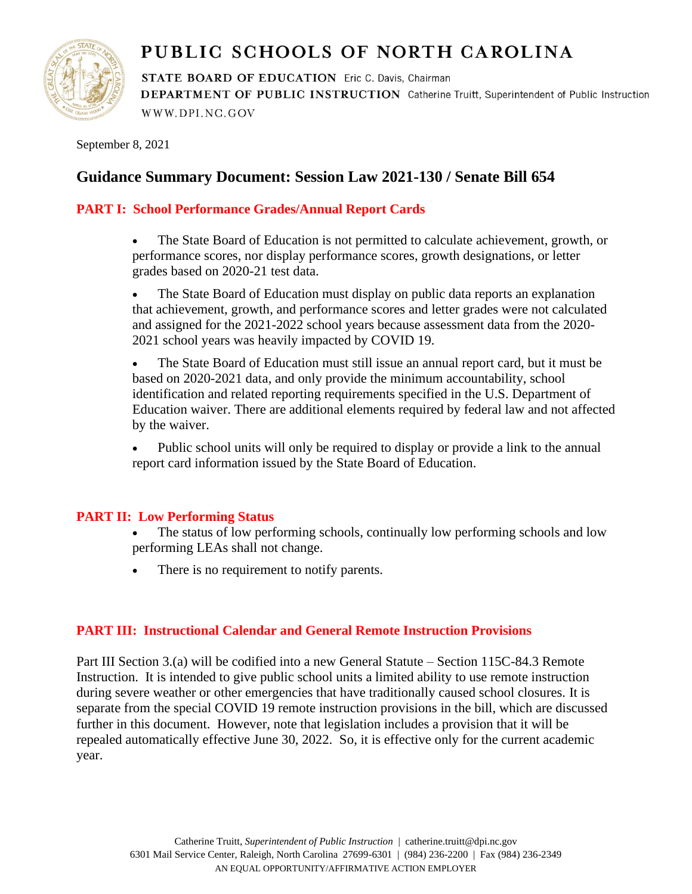

# PUBLIC SCHOOLS OF NORTH CAROLINA

STATE BOARD OF EDUCATION Eric C. Davis, Chairman DEPARTMENT OF PUBLIC INSTRUCTION Catherine Truitt, Superintendent of Public Instruction WWW.DPI.NC.GOV

September 8, 2021

# **Guidance Summary Document: Session Law 2021-130 / Senate Bill 654**

# **PART I: School Performance Grades/Annual Report Cards**

• The State Board of Education is not permitted to calculate achievement, growth, or performance scores, nor display performance scores, growth designations, or letter grades based on 2020-21 test data.

• The State Board of Education must display on public data reports an explanation that achievement, growth, and performance scores and letter grades were not calculated and assigned for the 2021-2022 school years because assessment data from the 2020- 2021 school years was heavily impacted by COVID 19.

• The State Board of Education must still issue an annual report card, but it must be based on 2020-2021 data, and only provide the minimum accountability, school identification and related reporting requirements specified in the U.S. Department of Education waiver. There are additional elements required by federal law and not affected by the waiver.

• Public school units will only be required to display or provide a link to the annual report card information issued by the State Board of Education.

# **PART II: Low Performing Status**

The status of low performing schools, continually low performing schools and low performing LEAs shall not change.

There is no requirement to notify parents.

# **PART III: Instructional Calendar and General Remote Instruction Provisions**

Part III Section 3.(a) will be codified into a new General Statute – Section 115C-84.3 Remote Instruction. It is intended to give public school units a limited ability to use remote instruction during severe weather or other emergencies that have traditionally caused school closures. It is separate from the special COVID 19 remote instruction provisions in the bill, which are discussed further in this document. However, note that legislation includes a provision that it will be repealed automatically effective June 30, 2022. So, it is effective only for the current academic year.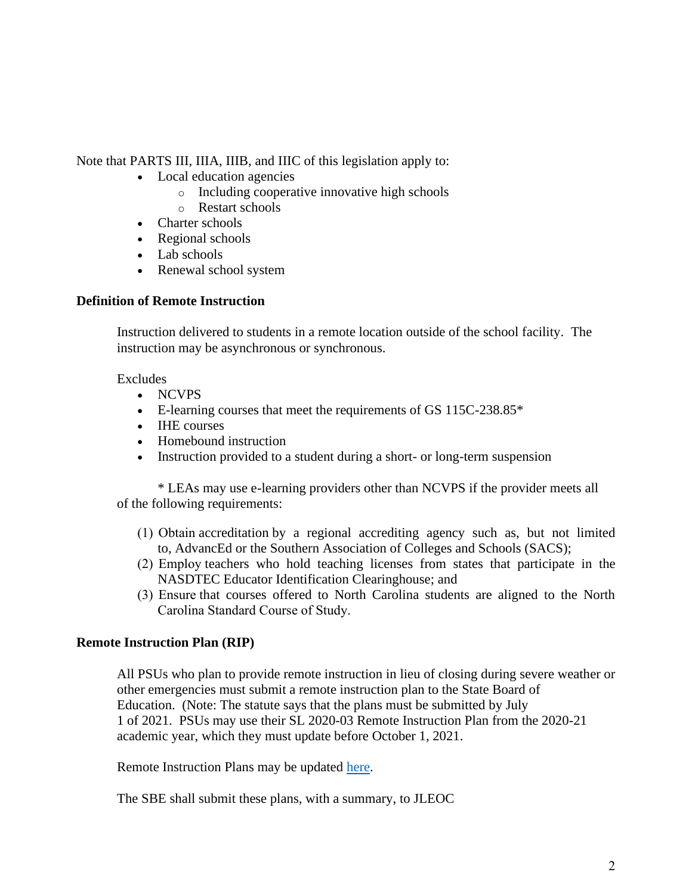Note that PARTS III, IIIA, IIIB, and IIIC of this legislation apply to:

- Local education agencies
	- o Including cooperative innovative high schools
	- o Restart schools
- Charter schools
- Regional schools
- Lab schools
- Renewal school system

#### **Definition of Remote Instruction**

Instruction delivered to students in a remote location outside of the school facility. The instruction may be asynchronous or synchronous.

## Excludes

- NCVPS
- E-learning courses that meet the requirements of GS 115C-238.85<sup>\*</sup>
- IHE courses
- Homebound instruction
- Instruction provided to a student during a short- or long-term suspension

\* LEAs may use e-learning providers other than NCVPS if the provider meets all of the following requirements:

- (1)  Obtain accreditation by a regional accrediting agency such as, but not limited to, AdvancEd or the Southern Association of Colleges and Schools (SACS);
- (2)  Employ teachers who hold teaching licenses from states that participate in the NASDTEC Educator Identification Clearinghouse; and
- (3)  Ensure that courses offered to North Carolina students are aligned to the North Carolina Standard Course of Study.

# **Remote Instruction Plan (RIP)**

All PSUs who plan to provide remote instruction in lieu of closing during severe weather or other emergencies must submit a remote instruction plan to the State Board of Education. (Note: The statute says that the plans must be submitted by July 1 of 2021. PSUs may use their SL 2020-03 Remote Instruction Plan from the 2020-21 academic year, which they must update before October 1, 2021.

Remote Instruction Plans may be updated [here.](https://www.dpi.nc.gov/districts-schools/districts-schools-support/digital-teaching-and-learning/remote-instruction-plan)

The SBE shall submit these plans, with a summary, to JLEOC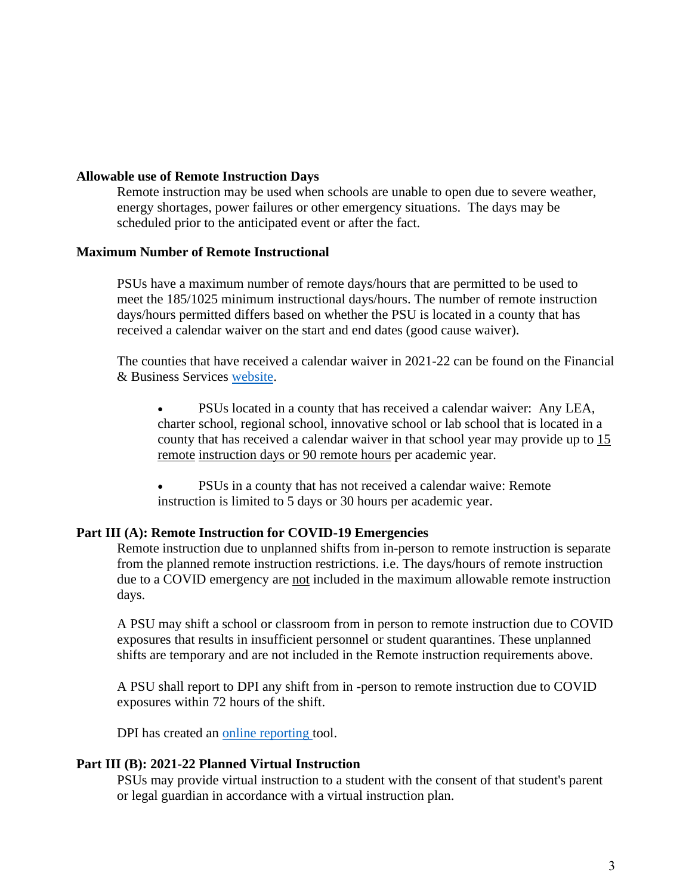#### **Allowable use of Remote Instruction Days**

Remote instruction may be used when schools are unable to open due to severe weather, energy shortages, power failures or other emergency situations. The days may be scheduled prior to the anticipated event or after the fact.

#### **Maximum Number of Remote Instructional**

PSUs have a maximum number of remote days/hours that are permitted to be used to meet the 185/1025 minimum instructional days/hours. The number of remote instruction days/hours permitted differs based on whether the PSU is located in a county that has received a calendar waiver on the start and end dates (good cause waiver).

The counties that have received a calendar waiver in 2021-22 can be found on the Financial & Business Services [website.](https://www.dpi.nc.gov/media/8993/download)

• PSUs located in a county that has received a calendar waiver: Any LEA, charter school, regional school, innovative school or lab school that is located in a county that has received a calendar waiver in that school year may provide up to 15 remote instruction days or 90 remote hours per academic year.

• PSUs in a county that has not received a calendar waive: Remote instruction is limited to 5 days or 30 hours per academic year.

#### **Part III (A): Remote Instruction for COVID-19 Emergencies**

Remote instruction due to unplanned shifts from in-person to remote instruction is separate from the planned remote instruction restrictions. i.e. The days/hours of remote instruction due to a COVID emergency are not included in the maximum allowable remote instruction days.

A PSU may shift a school or classroom from in person to remote instruction due to COVID exposures that results in insufficient personnel or student quarantines. These unplanned shifts are temporary and are not included in the Remote instruction requirements above.

A PSU shall report to DPI any shift from in -person to remote instruction due to COVID exposures within 72 hours of the shift.

DPI has created an [online reporting](https://ncvps.co1.qualtrics.com/jfe/form/SV_4IyNexXLiuIaYmi) tool.

#### **Part III (B): 2021-22 Planned Virtual Instruction**

PSUs may provide virtual instruction to a student with the consent of that student's parent or legal guardian in accordance with a virtual instruction plan.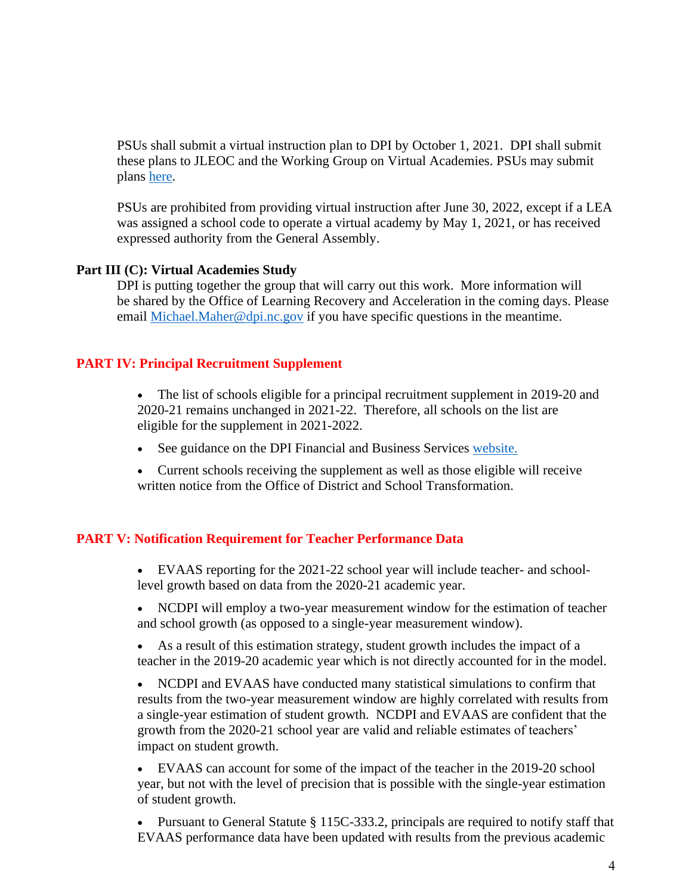PSUs shall submit a virtual instruction plan to DPI by October 1, 2021. DPI shall submit these plans to JLEOC and the Working Group on Virtual Academies. PSUs may submit plans [here.](https://www.dpi.nc.gov/districts-schools/districts-schools-support/digital-teaching-and-learning/virtual-instruction-plan)

PSUs are prohibited from providing virtual instruction after June 30, 2022, except if a LEA was assigned a school code to operate a virtual academy by May 1, 2021, or has received expressed authority from the General Assembly.

#### **Part III (C): Virtual Academies Study**

DPI is putting together the group that will carry out this work. More information will be shared by the Office of Learning Recovery and Acceleration in the coming days. Please email [Michael.Maher@dpi.nc.gov](mailto:Michael.Maher@dpi.nc.gov) if you have specific questions in the meantime.

# **PART IV: Principal Recruitment Supplement**

- The list of schools eligible for a principal recruitment supplement in 2019-20 and 2020-21 remains unchanged in 2021-22. Therefore, all schools on the list are eligible for the supplement in 2021-2022.
- See guidance on the DPI Financial and Business Services [website.](https://www.dpi.nc.gov/districts-schools/district-operations/financial-and-business-services/compensation-public-school-employees#guidance)
- Current schools receiving the supplement as well as those eligible will receive written notice from the Office of District and School Transformation.

# **PART V: Notification Requirement for Teacher Performance Data**

- EVAAS reporting for the 2021-22 school year will include teacher- and schoollevel growth based on data from the 2020-21 academic year.
- NCDPI will employ a two-year measurement window for the estimation of teacher and school growth (as opposed to a single-year measurement window).
- As a result of this estimation strategy, student growth includes the impact of a teacher in the 2019-20 academic year which is not directly accounted for in the model.

• NCDPI and EVAAS have conducted many statistical simulations to confirm that results from the two-year measurement window are highly correlated with results from a single-year estimation of student growth. NCDPI and EVAAS are confident that the growth from the 2020-21 school year are valid and reliable estimates of teachers' impact on student growth.

• EVAAS can account for some of the impact of the teacher in the 2019-20 school year, but not with the level of precision that is possible with the single-year estimation of student growth.

• Pursuant to General Statute § 115C-333.2, principals are required to notify staff that EVAAS performance data have been updated with results from the previous academic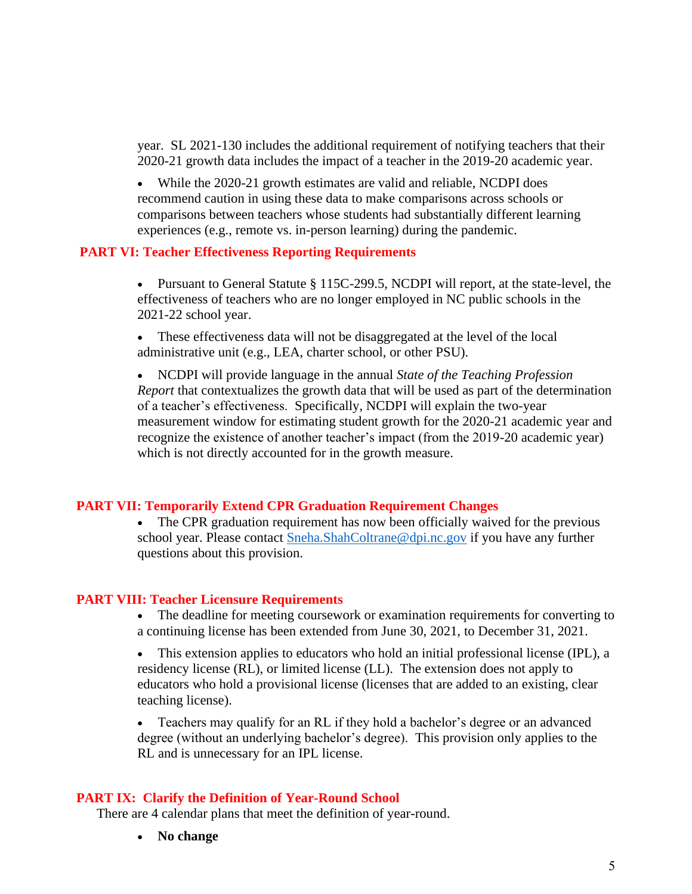year. SL 2021-130 includes the additional requirement of notifying teachers that their 2020-21 growth data includes the impact of a teacher in the 2019-20 academic year.

• While the 2020-21 growth estimates are valid and reliable, NCDPI does recommend caution in using these data to make comparisons across schools or comparisons between teachers whose students had substantially different learning experiences (e.g., remote vs. in-person learning) during the pandemic.

#### **PART VI: Teacher Effectiveness Reporting Requirements**

• Pursuant to General Statute § 115C-299.5, NCDPI will report, at the state-level, the effectiveness of teachers who are no longer employed in NC public schools in the 2021-22 school year.

These effectiveness data will not be disaggregated at the level of the local administrative unit (e.g., LEA, charter school, or other PSU).

• NCDPI will provide language in the annual *State of the Teaching Profession Report* that contextualizes the growth data that will be used as part of the determination of a teacher's effectiveness. Specifically, NCDPI will explain the two-year measurement window for estimating student growth for the 2020-21 academic year and recognize the existence of another teacher's impact (from the 2019-20 academic year) which is not directly accounted for in the growth measure.

#### **PART VII: Temporarily Extend CPR Graduation Requirement Changes**

The CPR graduation requirement has now been officially waived for the previous school year. Please contact [Sneha.ShahColtrane@dpi.nc.gov](mailto:Sneha.ShahColtrane@dpi.nc.gov) if you have any further questions about this provision.

#### **PART VIII: Teacher Licensure Requirements**

- The deadline for meeting coursework or examination requirements for converting to a continuing license has been extended from June 30, 2021, to December 31, 2021.
- This extension applies to educators who hold an initial professional license (IPL), a residency license (RL), or limited license (LL). The extension does not apply to educators who hold a provisional license (licenses that are added to an existing, clear teaching license).

• Teachers may qualify for an RL if they hold a bachelor's degree or an advanced degree (without an underlying bachelor's degree). This provision only applies to the RL and is unnecessary for an IPL license.

#### **PART IX: Clarify the Definition of Year-Round School**

There are 4 calendar plans that meet the definition of year-round.

• **No change**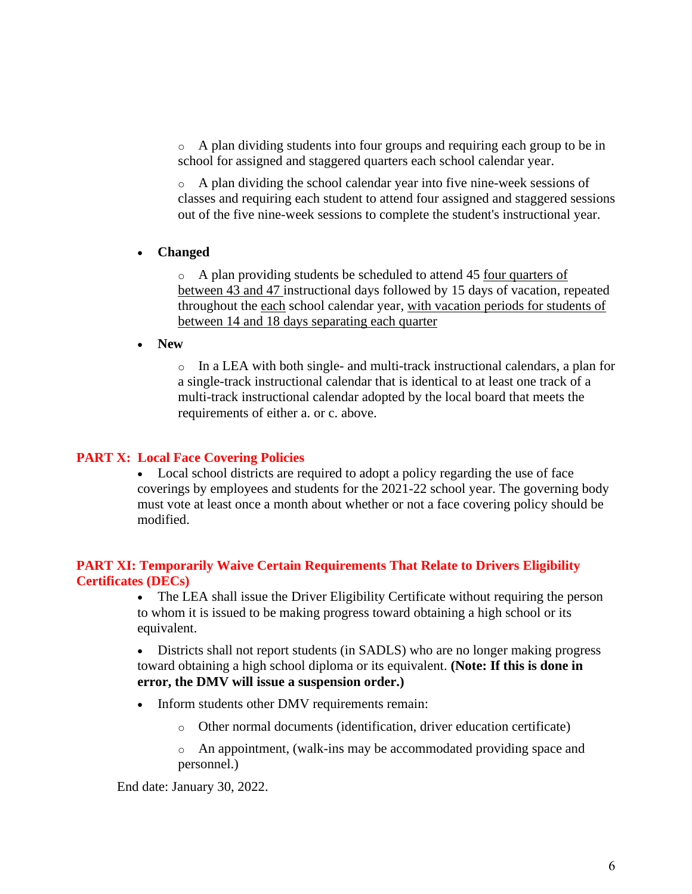$\circ$  A plan dividing students into four groups and requiring each group to be in school for assigned and staggered quarters each school calendar year.

o A plan dividing the school calendar year into five nine-week sessions of classes and requiring each student to attend four assigned and staggered sessions out of the five nine-week sessions to complete the student's instructional year.

• **Changed**

o A plan providing students be scheduled to attend 45 four quarters of between 43 and 47 instructional days followed by 15 days of vacation, repeated throughout the each school calendar year, with vacation periods for students of between 14 and 18 days separating each quarter

• **New**

 $\circ$  In a LEA with both single- and multi-track instructional calendars, a plan for a single-track instructional calendar that is identical to at least one track of a multi-track instructional calendar adopted by the local board that meets the requirements of either a. or c. above.

#### **PART X: Local Face Covering Policies**

• Local school districts are required to adopt a policy regarding the use of face coverings by employees and students for the 2021-22 school year. The governing body must vote at least once a month about whether or not a face covering policy should be modified.

#### **PART XI: Temporarily Waive Certain Requirements That Relate to Drivers Eligibility Certificates (DECs)**

• The LEA shall issue the Driver Eligibility Certificate without requiring the person to whom it is issued to be making progress toward obtaining a high school or its equivalent.

• Districts shall not report students (in SADLS) who are no longer making progress toward obtaining a high school diploma or its equivalent. **(Note: If this is done in error, the DMV will issue a suspension order.)** 

- Inform students other DMV requirements remain:
	- o Other normal documents (identification, driver education certificate)
	- o An appointment, (walk-ins may be accommodated providing space and personnel.)

End date: January 30, 2022.